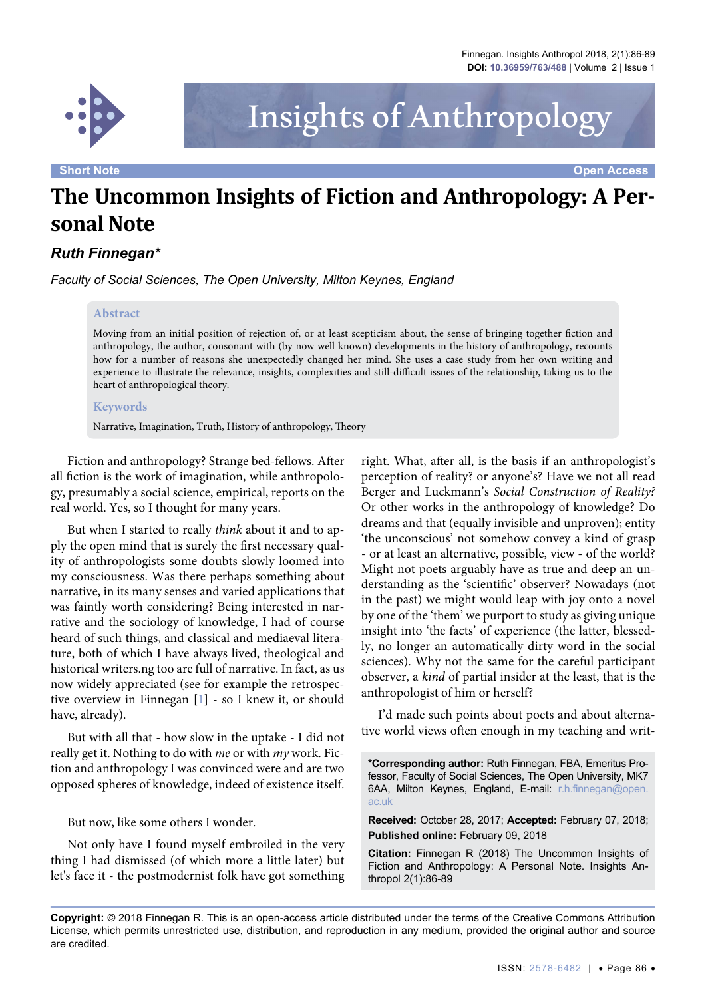

# Insights of Anthropology

**Short Note Open Access**

# **The Uncommon Insights of Fiction and Anthropology: A Personal Note**

# *Ruth Finnegan\**

*Faculty of Social Sciences, The Open University, Milton Keynes, England* 

#### **Abstract**

Moving from an initial position of rejection of, or at least scepticism about, the sense of bringing together fiction and anthropology, the author, consonant with (by now well known) developments in the history of anthropology, recounts how for a number of reasons she unexpectedly changed her mind. She uses a case study from her own writing and experience to illustrate the relevance, insights, complexities and still-difficult issues of the relationship, taking us to the heart of anthropological theory.

#### **Keywords**

Narrative, Imagination, Truth, History of anthropology, Theory

Fiction and anthropology? Strange bed-fellows. After all fiction is the work of imagination, while anthropology, presumably a social science, empirical, reports on the real world. Yes, so I thought for many years.

But when I started to really *think* about it and to apply the open mind that is surely the first necessary quality of anthropologists some doubts slowly loomed into my consciousness. Was there perhaps something about narrative, in its many senses and varied applications that was faintly worth considering? Being interested in narrative and the sociology of knowledge, I had of course heard of such things, and classical and mediaeval literature, both of which I have always lived, theological and historical writers.ng too are full of narrative. In fact, as us now widely appreciated (see for example the retrospective overview in Finnegan [[1](#page-3-0)] - so I knew it, or should have, already).

But with all that - how slow in the uptake - I did not really get it. Nothing to do with *me* or with *my* work. Fiction and anthropology I was convinced were and are two opposed spheres of knowledge, indeed of existence itself.

But now, like some others I wonder.

Not only have I found myself embroiled in the very thing I had dismissed (of which more a little later) but let's face it - the postmodernist folk have got something

right. What, after all, is the basis if an anthropologist's perception of reality? or anyone's? Have we not all read Berger and Luckmann's *Social Construction of Reality?* Or other works in the anthropology of knowledge? Do dreams and that (equally invisible and unproven); entity 'the unconscious' not somehow convey a kind of grasp - or at least an alternative, possible, view - of the world? Might not poets arguably have as true and deep an understanding as the 'scientific' observer? Nowadays (not in the past) we might would leap with joy onto a novel by one of the 'them' we purport to study as giving unique insight into 'the facts' of experience (the latter, blessedly, no longer an automatically dirty word in the social sciences). Why not the same for the careful participant observer, a *kind* of partial insider at the least, that is the anthropologist of him or herself?

I'd made such points about poets and about alternative world views often enough in my teaching and writ-

**\*Corresponding author:** Ruth Finnegan, FBA, Emeritus Professor, Faculty of Social Sciences, The Open University, MK7 6AA, Milton Keynes, England, E-mail: [r.h.finnegan@open.](mailto:r.h.finnegan@open.ac.uk) [ac.uk](mailto:r.h.finnegan@open.ac.uk)

**Received:** October 28, 2017; **Accepted:** February 07, 2018; **Published online:** February 09, 2018

**Citation:** Finnegan R (2018) The Uncommon Insights of Fiction and Anthropology: A Personal Note. Insights Anthropol 2(1):86-89

**Copyright:** © 2018 Finnegan R. This is an open-access article distributed under the terms of the Creative Commons Attribution License, which permits unrestricted use, distribution, and reproduction in any medium, provided the original author and source are credited.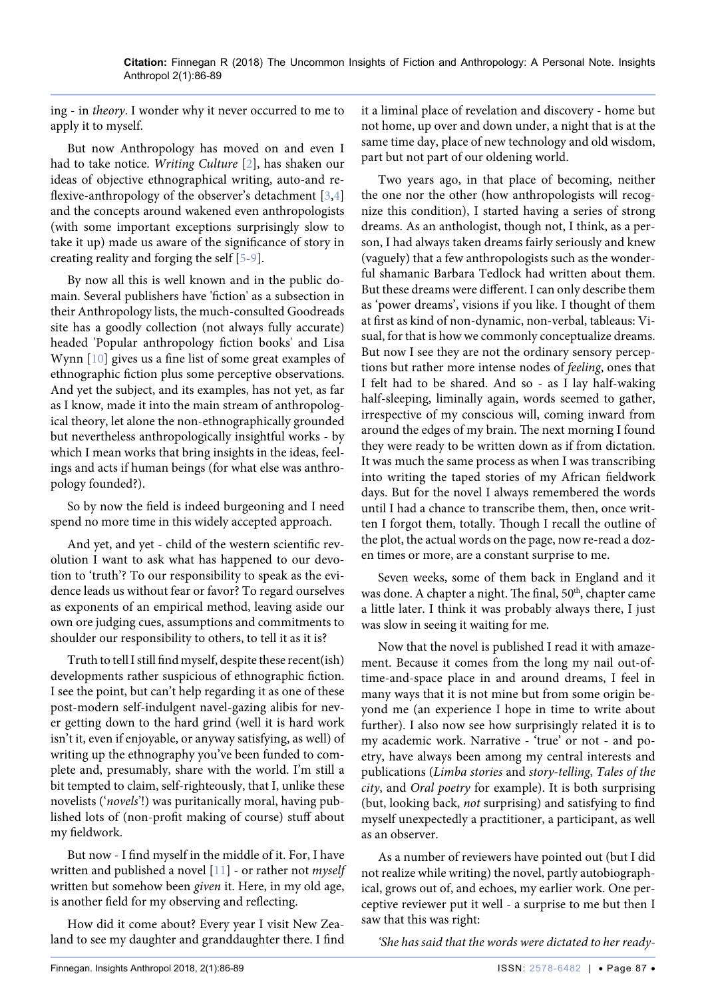ing - in *theory*. I wonder why it never occurred to me to apply it to myself.

But now Anthropology has moved on and even I had to take notice. *Writing Culture* [[2\]](#page-3-1), has shaken our ideas of objective ethnographical writing, auto-and reflexive-anthropology of the observer's detachment [[3](#page-3-2)[,4\]](#page-3-3) and the concepts around wakened even anthropologists (with some important exceptions surprisingly slow to take it up) made us aware of the significance of story in creating reality and forging the self [\[5-](#page-3-4)[9\]](#page-3-5).

By now all this is well known and in the public domain. Several publishers have 'fiction' as a subsection in their Anthropology lists, the much-consulted Goodreads site has a goodly collection (not always fully accurate) headed 'Popular anthropology fiction books' and Lisa Wynn [[10\]](#page-3-6) gives us a fine list of some great examples of ethnographic fiction plus some perceptive observations. And yet the subject, and its examples, has not yet, as far as I know, made it into the main stream of anthropological theory, let alone the non-ethnographically grounded but nevertheless anthropologically insightful works - by which I mean works that bring insights in the ideas, feelings and acts if human beings (for what else was anthropology founded?).

So by now the field is indeed burgeoning and I need spend no more time in this widely accepted approach.

And yet, and yet - child of the western scientific revolution I want to ask what has happened to our devotion to 'truth'? To our responsibility to speak as the evidence leads us without fear or favor? To regard ourselves as exponents of an empirical method, leaving aside our own ore judging cues, assumptions and commitments to shoulder our responsibility to others, to tell it as it is?

Truth to tell I still find myself, despite these recent(ish) developments rather suspicious of ethnographic fiction. I see the point, but can't help regarding it as one of these post-modern self-indulgent navel-gazing alibis for never getting down to the hard grind (well it is hard work isn't it, even if enjoyable, or anyway satisfying, as well) of writing up the ethnography you've been funded to complete and, presumably, share with the world. I'm still a bit tempted to claim, self-righteously, that I, unlike these novelists ('*novels*'!) was puritanically moral, having published lots of (non-profit making of course) stuff about my fieldwork.

But now - I find myself in the middle of it. For, I have written and published a novel [\[11\]](#page-3-7) - or rather not *myself* written but somehow been *given* it. Here, in my old age, is another field for my observing and reflecting.

How did it come about? Every year I visit New Zealand to see my daughter and granddaughter there. I find it a liminal place of revelation and discovery - home but not home, up over and down under, a night that is at the same time day, place of new technology and old wisdom, part but not part of our oldening world.

Two years ago, in that place of becoming, neither the one nor the other (how anthropologists will recognize this condition), I started having a series of strong dreams. As an anthologist, though not, I think, as a person, I had always taken dreams fairly seriously and knew (vaguely) that a few anthropologists such as the wonderful shamanic Barbara Tedlock had written about them. But these dreams were different. I can only describe them as 'power dreams', visions if you like. I thought of them at first as kind of non-dynamic, non-verbal, tableaus: Visual, for that is how we commonly conceptualize dreams. But now I see they are not the ordinary sensory perceptions but rather more intense nodes of *feeling*, ones that I felt had to be shared. And so - as I lay half-waking half-sleeping, liminally again, words seemed to gather, irrespective of my conscious will, coming inward from around the edges of my brain. The next morning I found they were ready to be written down as if from dictation. It was much the same process as when I was transcribing into writing the taped stories of my African fieldwork days. But for the novel I always remembered the words until I had a chance to transcribe them, then, once written I forgot them, totally. Though I recall the outline of the plot, the actual words on the page, now re-read a dozen times or more, are a constant surprise to me.

Seven weeks, some of them back in England and it was done. A chapter a night. The final, 50<sup>th</sup>, chapter came a little later. I think it was probably always there, I just was slow in seeing it waiting for me.

Now that the novel is published I read it with amazement. Because it comes from the long my nail out-oftime-and-space place in and around dreams, I feel in many ways that it is not mine but from some origin beyond me (an experience I hope in time to write about further). I also now see how surprisingly related it is to my academic work. Narrative - 'true' or not - and poetry, have always been among my central interests and publications (*Limba stories* and *story-telling*, *Tales of the city*, and *Oral poetry* for example). It is both surprising (but, looking back, *not* surprising) and satisfying to find myself unexpectedly a practitioner, a participant, as well as an observer.

As a number of reviewers have pointed out (but I did not realize while writing) the novel, partly autobiographical, grows out of, and echoes, my earlier work. One perceptive reviewer put it well - a surprise to me but then I saw that this was right:

*'She has said that the words were dictated to her ready-*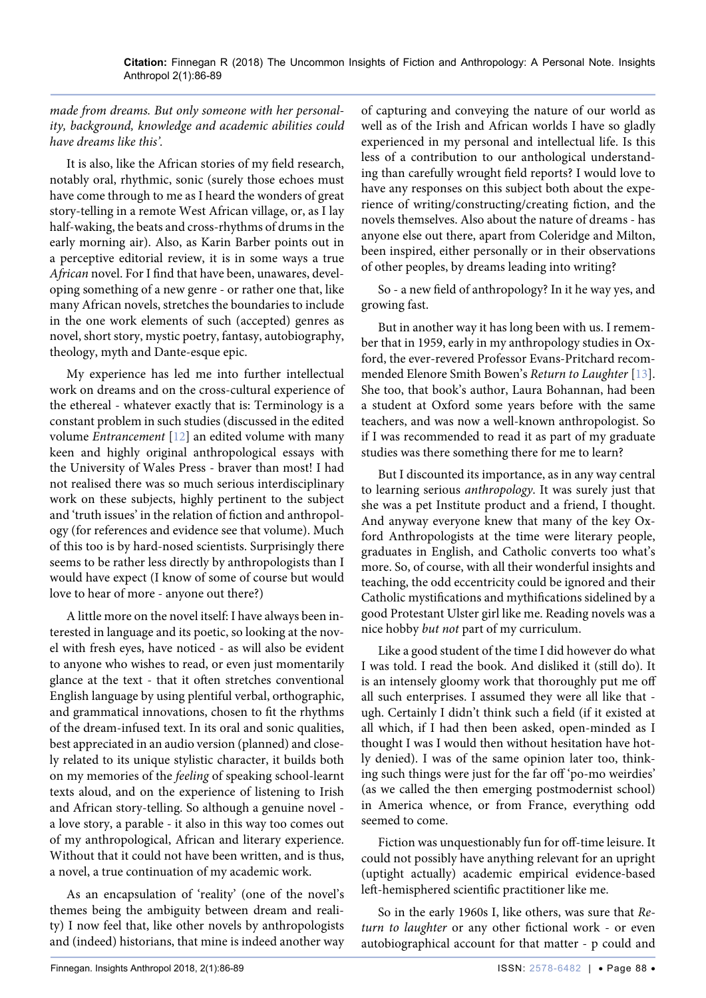# *made from dreams. But only someone with her personality, background, knowledge and academic abilities could have dreams like this'.*

It is also, like the African stories of my field research, notably oral, rhythmic, sonic (surely those echoes must have come through to me as I heard the wonders of great story-telling in a remote West African village, or, as I lay half-waking, the beats and cross-rhythms of drums in the early morning air). Also, as Karin Barber points out in a perceptive editorial review, it is in some ways a true *African* novel. For I find that have been, unawares, developing something of a new genre - or rather one that, like many African novels, stretches the boundaries to include in the one work elements of such (accepted) genres as novel, short story, mystic poetry, fantasy, autobiography, theology, myth and Dante-esque epic.

My experience has led me into further intellectual work on dreams and on the cross-cultural experience of the ethereal - whatever exactly that is: Terminology is a constant problem in such studies (discussed in the edited volume *Entrancement* [[12\]](#page-3-8) an edited volume with many keen and highly original anthropological essays with the University of Wales Press - braver than most! I had not realised there was so much serious interdisciplinary work on these subjects, highly pertinent to the subject and 'truth issues' in the relation of fiction and anthropology (for references and evidence see that volume). Much of this too is by hard-nosed scientists. Surprisingly there seems to be rather less directly by anthropologists than I would have expect (I know of some of course but would love to hear of more - anyone out there?)

A little more on the novel itself: I have always been interested in language and its poetic, so looking at the novel with fresh eyes, have noticed - as will also be evident to anyone who wishes to read, or even just momentarily glance at the text - that it often stretches conventional English language by using plentiful verbal, orthographic, and grammatical innovations, chosen to fit the rhythms of the dream-infused text. In its oral and sonic qualities, best appreciated in an audio version (planned) and closely related to its unique stylistic character, it builds both on my memories of the *feeling* of speaking school-learnt texts aloud, and on the experience of listening to Irish and African story-telling. So although a genuine novel a love story, a parable - it also in this way too comes out of my anthropological, African and literary experience. Without that it could not have been written, and is thus, a novel, a true continuation of my academic work.

As an encapsulation of 'reality' (one of the novel's themes being the ambiguity between dream and reality) I now feel that, like other novels by anthropologists and (indeed) historians, that mine is indeed another way

of capturing and conveying the nature of our world as well as of the Irish and African worlds I have so gladly experienced in my personal and intellectual life. Is this less of a contribution to our anthological understanding than carefully wrought field reports? I would love to have any responses on this subject both about the experience of writing/constructing/creating fiction, and the novels themselves. Also about the nature of dreams - has anyone else out there, apart from Coleridge and Milton, been inspired, either personally or in their observations of other peoples, by dreams leading into writing?

So - a new field of anthropology? In it he way yes, and growing fast.

But in another way it has long been with us. I remember that in 1959, early in my anthropology studies in Oxford, the ever-revered Professor Evans-Pritchard recommended Elenore Smith Bowen's *Return to Laughter* [[13](#page-3-9)]. She too, that book's author, Laura Bohannan, had been a student at Oxford some years before with the same teachers, and was now a well-known anthropologist. So if I was recommended to read it as part of my graduate studies was there something there for me to learn?

But I discounted its importance, as in any way central to learning serious *anthropology*. It was surely just that she was a pet Institute product and a friend, I thought. And anyway everyone knew that many of the key Oxford Anthropologists at the time were literary people, graduates in English, and Catholic converts too what's more. So, of course, with all their wonderful insights and teaching, the odd eccentricity could be ignored and their Catholic mystifications and mythifications sidelined by a good Protestant Ulster girl like me. Reading novels was a nice hobby *but not* part of my curriculum.

Like a good student of the time I did however do what I was told. I read the book. And disliked it (still do). It is an intensely gloomy work that thoroughly put me off all such enterprises. I assumed they were all like that ugh. Certainly I didn't think such a field (if it existed at all which, if I had then been asked, open-minded as I thought I was I would then without hesitation have hotly denied). I was of the same opinion later too, thinking such things were just for the far off 'po-mo weirdies' (as we called the then emerging postmodernist school) in America whence, or from France, everything odd seemed to come.

Fiction was unquestionably fun for off-time leisure. It could not possibly have anything relevant for an upright (uptight actually) academic empirical evidence-based left-hemisphered scientific practitioner like me.

So in the early 1960s I, like others, was sure that *Return to laughter* or any other fictional work - or even autobiographical account for that matter - p could and